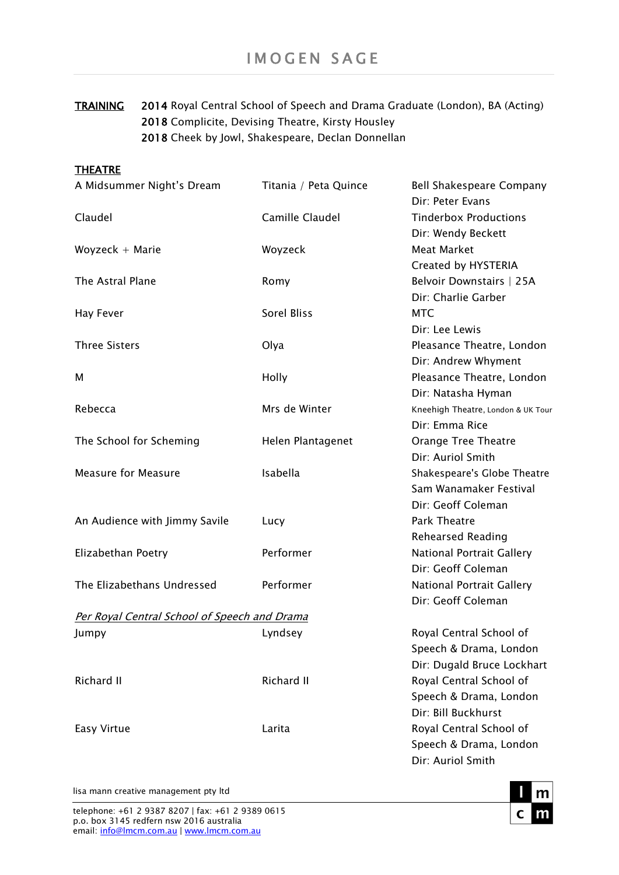TRAINING 2014 Royal Central School of Speech and Drama Graduate (London), BA (Acting) 2018 Complicite, Devising Theatre, Kirsty Housley 2018 Cheek by Jowl, Shakespeare, Declan Donnellan

| A Midsummer Night's Dream                    | Titania / Peta Quince | Bell Shakespeare Company<br>Dir: Peter Evans                                    |
|----------------------------------------------|-----------------------|---------------------------------------------------------------------------------|
| Claudel                                      | Camille Claudel       | <b>Tinderbox Productions</b><br>Dir: Wendy Beckett                              |
| Woyzeck $+$ Marie                            | Woyzeck               | Meat Market<br>Created by HYSTERIA                                              |
| The Astral Plane                             | Romy                  | Belvoir Downstairs   25A<br>Dir: Charlie Garber                                 |
| <b>Hay Fever</b>                             | Sorel Bliss           | <b>MTC</b><br>Dir: Lee Lewis                                                    |
| <b>Three Sisters</b>                         | Olya                  | Pleasance Theatre, London<br>Dir: Andrew Whyment                                |
| м                                            | Holly                 | Pleasance Theatre, London<br>Dir: Natasha Hyman                                 |
| Rebecca                                      | Mrs de Winter         | Kneehigh Theatre, London & UK Tour<br>Dir: Emma Rice                            |
| The School for Scheming                      | Helen Plantagenet     | Orange Tree Theatre<br>Dir: Auriol Smith                                        |
| <b>Measure for Measure</b>                   | Isabella              | Shakespeare's Globe Theatre<br>Sam Wanamaker Festival<br>Dir: Geoff Coleman     |
| An Audience with Jimmy Savile                | Lucy                  | Park Theatre<br><b>Rehearsed Reading</b>                                        |
| Elizabethan Poetry                           | Performer             | <b>National Portrait Gallery</b><br>Dir: Geoff Coleman                          |
| The Elizabethans Undressed                   | Performer             | <b>National Portrait Gallery</b><br>Dir: Geoff Coleman                          |
| Per Royal Central School of Speech and Drama |                       |                                                                                 |
| Jumpy                                        | Lyndsey               | Royal Central School of<br>Speech & Drama, London<br>Dir: Dugald Bruce Lockhart |
| Richard II                                   | Richard II            | Royal Central School of<br>Speech & Drama, London<br>Dir: Bill Buckhurst        |
| Easy Virtue                                  | Larita                | Royal Central School of<br>Speech & Drama, London<br>Dir: Auriol Smith          |

## lisa mann creative management pty ltd

**THEATRE**